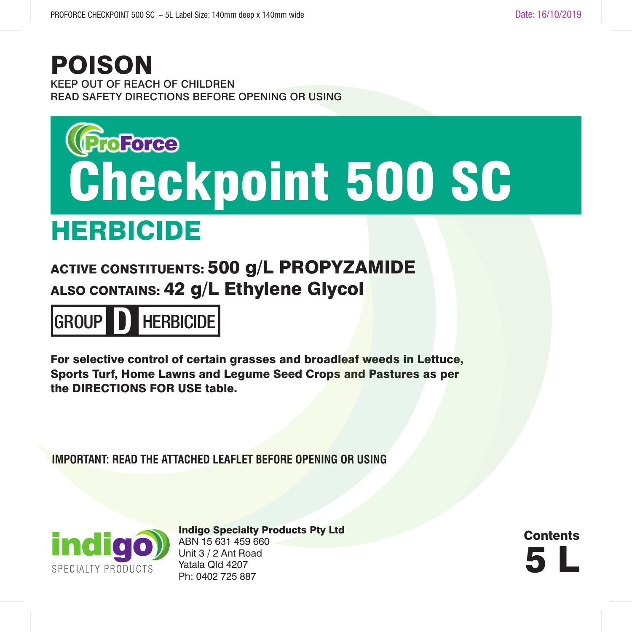## POISON

KEEP OUT OF REACH OF CHILDREN READ SAFETY DIRECTIONS BEFORE OPENING OR USING

## **ProForce** Checkpoint 500 SC

## HERBICIDE

ACTIVE CONSTITUENTS: 500 g/L PROPYZAMIDE ALSO CONTAINS: 42 g/L Ethylene Glycol



For selective control of certain grasses and broadleaf weeds in Lettuce, Sports Turf, Home Lawns and Legume Seed Crops and Pastures as per the DIRECTIONS FOR USE table.

**IMPORTANT: READ THE ATTACHED LEAFLET BEFORE OPENING OR USING**



Indigo Specialty Products Pty Ltd ABN 15 631 459 660 Unit 3 / 2 Ant Road Yatala Qld 4207 ND TO 2011 TO 2011 TO 2011 TO 2011 TO 2011 TO 2011 TO 2011 TO 2012 TO 2012 TO 2012 TO 2012 TO 2012 TO 2012 TO 2012 TO 2012 TO 2012 TO 2012 TO 2012 TO 2012 TO 2012 TO 2012 TO 2012 TO 2012 TO 2012 TO 2012 TO 2012 TO 2012 TO

**Contents**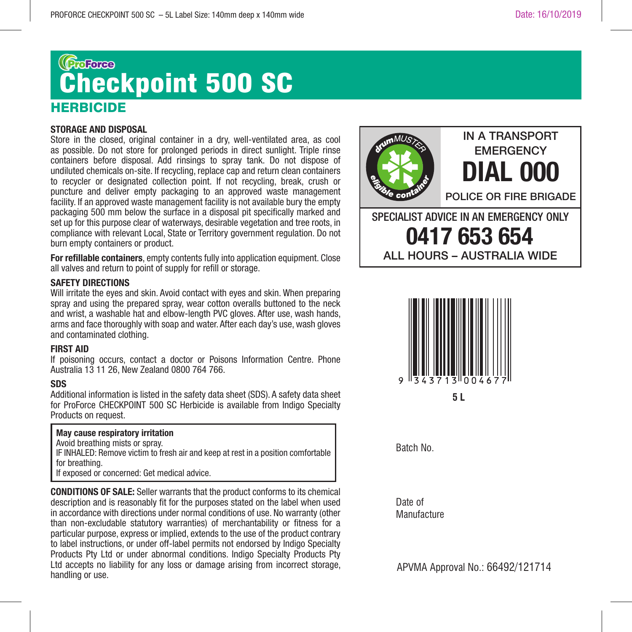## (**BroForce** Checkpoint 500 SC**HERBICIDE**

#### **STORAGE AND DISPOSAL**

Store in the closed, original container in a dry, well-ventilated area, as cool as possible. Do not store for prolonged periods in direct sunlight. Triple rinse containers before disposal. Add rinsings to spray tank. Do not dispose of undiluted chemicals on-site. If recycling, replace cap and return clean containers to recycler or designated collection point. If not recycling, break, crush or puncture and deliver empty packaging to an approved waste management facility. If an approved waste management facility is not available bury the empty packaging 500 mm below the surface in a disposal pit specifically marked and set up for this purpose clear of waterways, desirable vegetation and tree roots, in compliance with relevant Local, State or Territory government regulation. Do not burn empty containers or product.

**For refillable containers**, empty contents fully into application equipment. Close all valves and return to point of supply for refill or storage.

#### **SAFETY DIRECTIONS**

Will irritate the eyes and skin. Avoid contact with eyes and skin. When preparing spray and using the prepared spray, wear cotton overalls buttoned to the neck and wrist, a washable hat and elbow-length PVC gloves. After use, wash hands, arms and face thoroughly with soap and water. After each day's use, wash gloves and contaminated clothing.

#### **FIRST AID**

If poisoning occurs, contact a doctor or Poisons Information Centre. Phone Australia 13 11 26, New Zealand 0800 764 766.

#### **SDS**

Additional information is listed in the safety data sheet (SDS). A safety data sheet for ProForce CHECKPOINT 500 SC Herbicide is available from Indigo Specialty Products on request.

#### **May cause respiratory irritation**

Avoid breathing mists or spray.

IF INHALED: Remove victim to fresh air and keep at rest in a position comfortable for breathing.

If exposed or concerned: Get medical advice.

**CONDITIONS OF SALE:** Seller warrants that the product conforms to its chemical description and is reasonably fit for the purposes stated on the label when used in accordance with directions under normal conditions of use. No warranty (other than non-excludable statutory warranties) of merchantability or fitness for a particular purpose, express or implied, extends to the use of the product contrary to label instructions, or under off-label permits not endorsed by Indigo Specialty Products Pty Ltd or under abnormal conditions. Indigo Specialty Products Pty Ltd accepts no liability for any loss or damage arising from incorrect storage, handling or use.



ALL HOURS – AUSTRALIA WIDE



Batch No.

Date of Manufacture

APVMA Approval No.: 66492/121714